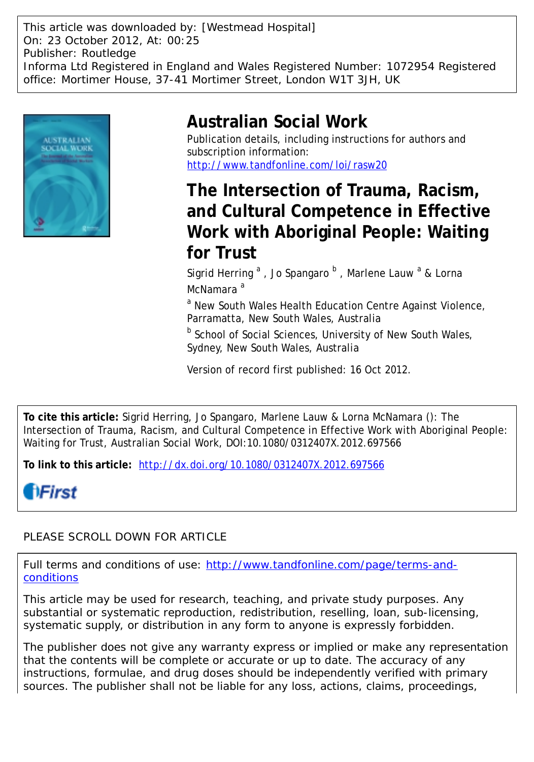This article was downloaded by: [Westmead Hospital] On: 23 October 2012, At: 00:25 Publisher: Routledge Informa Ltd Registered in England and Wales Registered Number: 1072954 Registered office: Mortimer House, 37-41 Mortimer Street, London W1T 3JH, UK



# **Australian Social Work**

Publication details, including instructions for authors and subscription information: <http://www.tandfonline.com/loi/rasw20>

**The Intersection of Trauma, Racism, and Cultural Competence in Effective Work with Aboriginal People: Waiting for Trust**

Sigrid Herring <sup>a</sup>, Jo Spangaro <sup>b</sup>, Marlene Lauw <sup>a</sup> & Lorna McNamara<sup>a</sup>

<sup>a</sup> New South Wales Health Education Centre Against Violence, Parramatta, New South Wales, Australia

**b** School of Social Sciences, University of New South Wales, Sydney, New South Wales, Australia

Version of record first published: 16 Oct 2012.

**To cite this article:** Sigrid Herring, Jo Spangaro, Marlene Lauw & Lorna McNamara (): The Intersection of Trauma, Racism, and Cultural Competence in Effective Work with Aboriginal People: Waiting for Trust, Australian Social Work, DOI:10.1080/0312407X.2012.697566

**To link to this article:** <http://dx.doi.org/10.1080/0312407X.2012.697566>



# PLEASE SCROLL DOWN FOR ARTICLE

Full terms and conditions of use: [http://www.tandfonline.com/page/terms-and](http://www.tandfonline.com/page/terms-and-conditions)[conditions](http://www.tandfonline.com/page/terms-and-conditions)

This article may be used for research, teaching, and private study purposes. Any substantial or systematic reproduction, redistribution, reselling, loan, sub-licensing, systematic supply, or distribution in any form to anyone is expressly forbidden.

The publisher does not give any warranty express or implied or make any representation that the contents will be complete or accurate or up to date. The accuracy of any instructions, formulae, and drug doses should be independently verified with primary sources. The publisher shall not be liable for any loss, actions, claims, proceedings,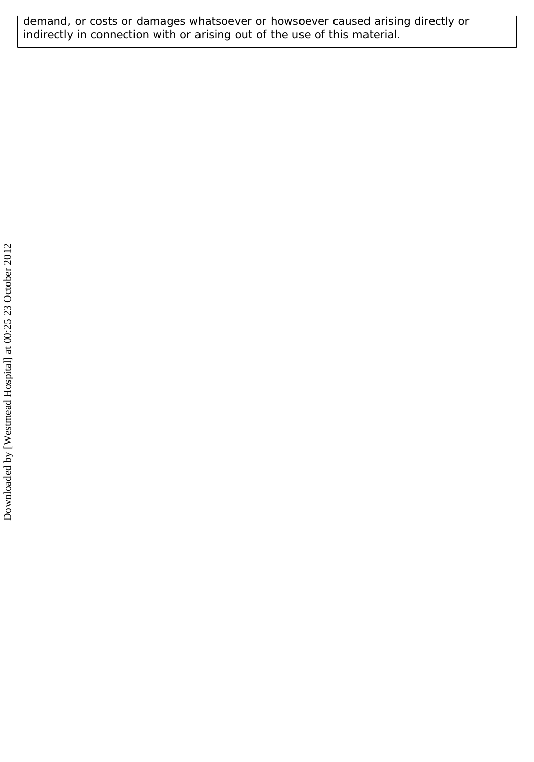demand, or costs or damages whatsoever or howsoever caused arising directly or indirectly in connection with or arising out of the use of this material.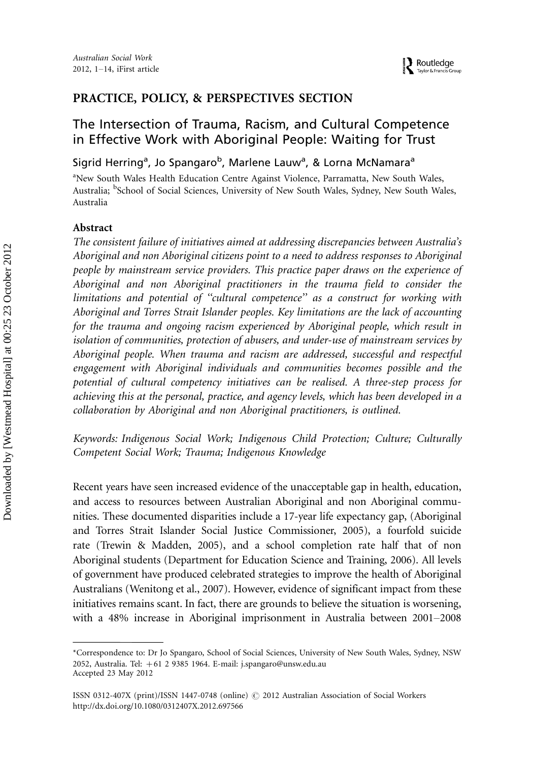# PRACTICE, POLICY, & PERSPECTIVES SECTION

# The Intersection of Trauma, Racism, and Cultural Competence in Effective Work with Aboriginal People: Waiting for Trust

Sigrid Herring<sup>a</sup>, Jo Spangaro<sup>b</sup>, Marlene Lauw<sup>a</sup>, & Lorna McNamara<sup>a</sup>

<sup>a</sup>New South Wales Health Education Centre Against Violence, Parramatta, New South Wales, Australia; <sup>b</sup>School of Social Sciences, University of New South Wales, Sydney, New South Wales, Australia

# Abstract

The consistent failure of initiatives aimed at addressing discrepancies between Australia's Aboriginal and non Aboriginal citizens point to a need to address responses to Aboriginal people by mainstream service providers. This practice paper draws on the experience of Aboriginal and non Aboriginal practitioners in the trauma field to consider the limitations and potential of ''cultural competence'' as a construct for working with Aboriginal and Torres Strait Islander peoples. Key limitations are the lack of accounting for the trauma and ongoing racism experienced by Aboriginal people, which result in isolation of communities, protection of abusers, and under-use of mainstream services by Aboriginal people. When trauma and racism are addressed, successful and respectful engagement with Aboriginal individuals and communities becomes possible and the potential of cultural competency initiatives can be realised. A three-step process for achieving this at the personal, practice, and agency levels, which has been developed in a collaboration by Aboriginal and non Aboriginal practitioners, is outlined.

Keywords: Indigenous Social Work; Indigenous Child Protection; Culture; Culturally Competent Social Work; Trauma; Indigenous Knowledge

Recent years have seen increased evidence of the unacceptable gap in health, education, and access to resources between Australian Aboriginal and non Aboriginal communities. These documented disparities include a 17-year life expectancy gap, (Aboriginal and Torres Strait Islander Social Justice Commissioner, 2005), a fourfold suicide rate (Trewin & Madden, 2005), and a school completion rate half that of non Aboriginal students (Department for Education Science and Training, 2006). All levels of government have produced celebrated strategies to improve the health of Aboriginal Australians (Wenitong et al., 2007). However, evidence of significant impact from these initiatives remains scant. In fact, there are grounds to believe the situation is worsening, with a  $48\%$  increase in Aboriginal imprisonment in Australia between  $2001-2008$ 

Accepted 23 May 2012 \*Correspondence to: Dr Jo Spangaro, School of Social Sciences, University of New South Wales, Sydney, NSW 2052, Australia. Tel: -61 2 9385 1964. E-mail: j.spangaro@unsw.edu.au

ISSN 0312-407X (print)/ISSN 1447-0748 (online)  $\odot$  2012 Australian Association of Social Workers <http://dx.doi.org/10.1080/0312407X.2012.697566>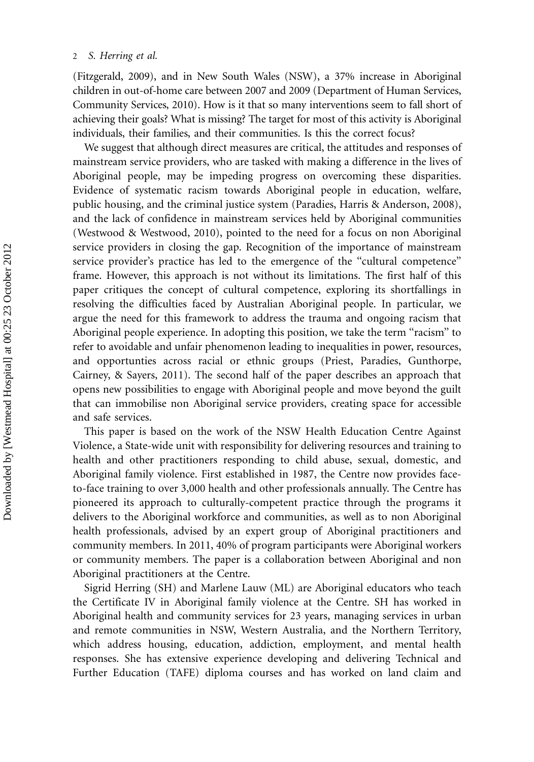(Fitzgerald, 2009), and in New South Wales (NSW), a 37% increase in Aboriginal children in out-of-home care between 2007 and 2009 (Department of Human Services, Community Services, 2010). How is it that so many interventions seem to fall short of achieving their goals? What is missing? The target for most of this activity is Aboriginal individuals, their families, and their communities. Is this the correct focus?

We suggest that although direct measures are critical, the attitudes and responses of mainstream service providers, who are tasked with making a difference in the lives of Aboriginal people, may be impeding progress on overcoming these disparities. Evidence of systematic racism towards Aboriginal people in education, welfare, public housing, and the criminal justice system (Paradies, Harris & Anderson, 2008), and the lack of confidence in mainstream services held by Aboriginal communities (Westwood & Westwood, 2010), pointed to the need for a focus on non Aboriginal service providers in closing the gap. Recognition of the importance of mainstream service provider's practice has led to the emergence of the ''cultural competence'' frame. However, this approach is not without its limitations. The first half of this paper critiques the concept of cultural competence, exploring its shortfallings in resolving the difficulties faced by Australian Aboriginal people. In particular, we argue the need for this framework to address the trauma and ongoing racism that Aboriginal people experience. In adopting this position, we take the term ''racism'' to refer to avoidable and unfair phenomenon leading to inequalities in power, resources, and opportunties across racial or ethnic groups (Priest, Paradies, Gunthorpe, Cairney, & Sayers, 2011). The second half of the paper describes an approach that opens new possibilities to engage with Aboriginal people and move beyond the guilt that can immobilise non Aboriginal service providers, creating space for accessible and safe services.

This paper is based on the work of the NSW Health Education Centre Against Violence, a State-wide unit with responsibility for delivering resources and training to health and other practitioners responding to child abuse, sexual, domestic, and Aboriginal family violence. First established in 1987, the Centre now provides faceto-face training to over 3,000 health and other professionals annually. The Centre has pioneered its approach to culturally-competent practice through the programs it delivers to the Aboriginal workforce and communities, as well as to non Aboriginal health professionals, advised by an expert group of Aboriginal practitioners and community members. In 2011, 40% of program participants were Aboriginal workers or community members. The paper is a collaboration between Aboriginal and non Aboriginal practitioners at the Centre.

Sigrid Herring (SH) and Marlene Lauw (ML) are Aboriginal educators who teach the Certificate IV in Aboriginal family violence at the Centre. SH has worked in Aboriginal health and community services for 23 years, managing services in urban and remote communities in NSW, Western Australia, and the Northern Territory, which address housing, education, addiction, employment, and mental health responses. She has extensive experience developing and delivering Technical and Further Education (TAFE) diploma courses and has worked on land claim and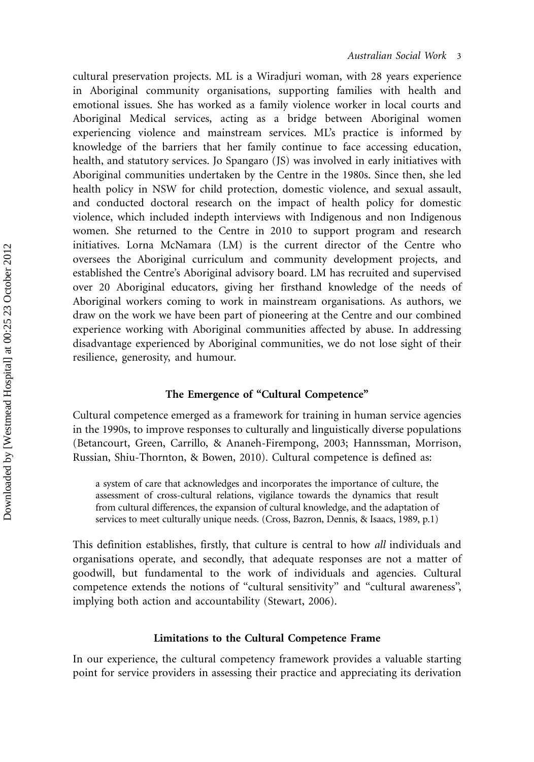cultural preservation projects. ML is a Wiradjuri woman, with 28 years experience in Aboriginal community organisations, supporting families with health and emotional issues. She has worked as a family violence worker in local courts and Aboriginal Medical services, acting as a bridge between Aboriginal women experiencing violence and mainstream services. ML's practice is informed by knowledge of the barriers that her family continue to face accessing education, health, and statutory services. Jo Spangaro (JS) was involved in early initiatives with Aboriginal communities undertaken by the Centre in the 1980s. Since then, she led health policy in NSW for child protection, domestic violence, and sexual assault, and conducted doctoral research on the impact of health policy for domestic violence, which included indepth interviews with Indigenous and non Indigenous women. She returned to the Centre in 2010 to support program and research initiatives. Lorna McNamara (LM) is the current director of the Centre who oversees the Aboriginal curriculum and community development projects, and established the Centre's Aboriginal advisory board. LM has recruited and supervised over 20 Aboriginal educators, giving her firsthand knowledge of the needs of Aboriginal workers coming to work in mainstream organisations. As authors, we draw on the work we have been part of pioneering at the Centre and our combined experience working with Aboriginal communities affected by abuse. In addressing disadvantage experienced by Aboriginal communities, we do not lose sight of their resilience, generosity, and humour.

# The Emergence of "Cultural Competence"

Cultural competence emerged as a framework for training in human service agencies in the 1990s, to improve responses to culturally and linguistically diverse populations (Betancourt, Green, Carrillo, & Ananeh-Firempong, 2003; Hannssman, Morrison, Russian, Shiu-Thornton, & Bowen, 2010). Cultural competence is defined as:

a system of care that acknowledges and incorporates the importance of culture, the assessment of cross-cultural relations, vigilance towards the dynamics that result from cultural differences, the expansion of cultural knowledge, and the adaptation of services to meet culturally unique needs. (Cross, Bazron, Dennis, & Isaacs, 1989, p.1)

This definition establishes, firstly, that culture is central to how all individuals and organisations operate, and secondly, that adequate responses are not a matter of goodwill, but fundamental to the work of individuals and agencies. Cultural competence extends the notions of ''cultural sensitivity'' and ''cultural awareness'', implying both action and accountability (Stewart, 2006).

## Limitations to the Cultural Competence Frame

In our experience, the cultural competency framework provides a valuable starting point for service providers in assessing their practice and appreciating its derivation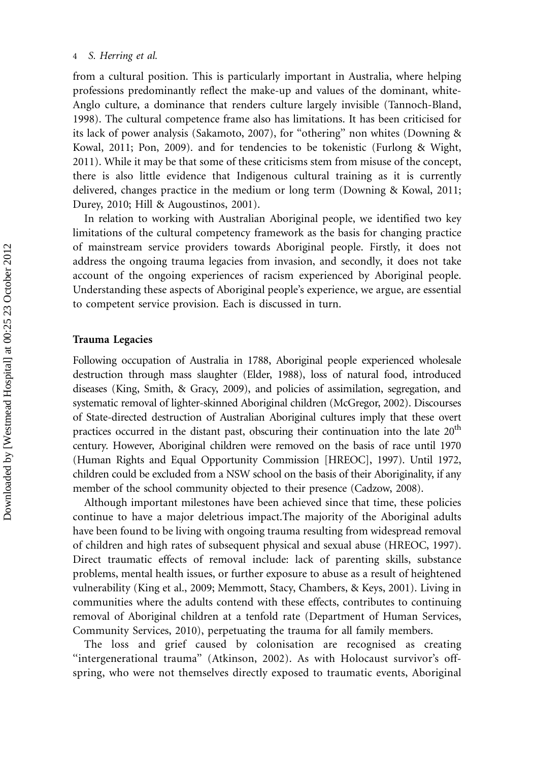#### 4 S. Herring et al.

from a cultural position. This is particularly important in Australia, where helping professions predominantly reflect the make-up and values of the dominant, white-Anglo culture, a dominance that renders culture largely invisible (Tannoch-Bland, 1998). The cultural competence frame also has limitations. It has been criticised for its lack of power analysis (Sakamoto, 2007), for ''othering'' non whites (Downing & Kowal, 2011; Pon, 2009). and for tendencies to be tokenistic (Furlong & Wight, 2011). While it may be that some of these criticisms stem from misuse of the concept, there is also little evidence that Indigenous cultural training as it is currently delivered, changes practice in the medium or long term (Downing & Kowal, 2011; Durey, 2010; Hill & Augoustinos, 2001).

In relation to working with Australian Aboriginal people, we identified two key limitations of the cultural competency framework as the basis for changing practice of mainstream service providers towards Aboriginal people. Firstly, it does not address the ongoing trauma legacies from invasion, and secondly, it does not take account of the ongoing experiences of racism experienced by Aboriginal people. Understanding these aspects of Aboriginal people's experience, we argue, are essential to competent service provision. Each is discussed in turn.

#### Trauma Legacies

Following occupation of Australia in 1788, Aboriginal people experienced wholesale destruction through mass slaughter (Elder, 1988), loss of natural food, introduced diseases (King, Smith, & Gracy, 2009), and policies of assimilation, segregation, and systematic removal of lighter-skinned Aboriginal children (McGregor, 2002). Discourses of State-directed destruction of Australian Aboriginal cultures imply that these overt practices occurred in the distant past, obscuring their continuation into the late 20<sup>th</sup> century. However, Aboriginal children were removed on the basis of race until 1970 (Human Rights and Equal Opportunity Commission [HREOC], 1997). Until 1972, children could be excluded from a NSW school on the basis of their Aboriginality, if any member of the school community objected to their presence (Cadzow, 2008).

Although important milestones have been achieved since that time, these policies continue to have a major deletrious impact.The majority of the Aboriginal adults have been found to be living with ongoing trauma resulting from widespread removal of children and high rates of subsequent physical and sexual abuse (HREOC, 1997). Direct traumatic effects of removal include: lack of parenting skills, substance problems, mental health issues, or further exposure to abuse as a result of heightened vulnerability (King et al., 2009; Memmott, Stacy, Chambers, & Keys, 2001). Living in communities where the adults contend with these effects, contributes to continuing removal of Aboriginal children at a tenfold rate (Department of Human Services, Community Services, 2010), perpetuating the trauma for all family members.

The loss and grief caused by colonisation are recognised as creating "intergenerational trauma" (Atkinson, 2002). As with Holocaust survivor's offspring, who were not themselves directly exposed to traumatic events, Aboriginal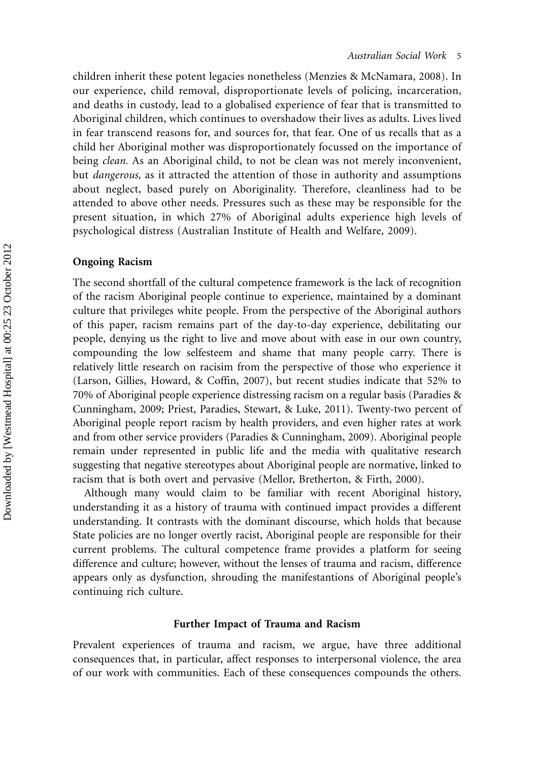children inherit these potent legacies nonetheless (Menzies & McNamara, 2008). In our experience, child removal, disproportionate levels of policing, incarceration, and deaths in custody, lead to a globalised experience of fear that is transmitted to Aboriginal children, which continues to overshadow their lives as adults. Lives lived in fear transcend reasons for, and sources for, that fear. One of us recalls that as a child her Aboriginal mother was disproportionately focussed on the importance of being *clean*. As an Aboriginal child, to not be clean was not merely inconvenient, but dangerous, as it attracted the attention of those in authority and assumptions about neglect, based purely on Aboriginality. Therefore, cleanliness had to be attended to above other needs. Pressures such as these may be responsible for the present situation, in which 27% of Aboriginal adults experience high levels of psychological distress (Australian Institute of Health and Welfare, 2009).

#### Ongoing Racism

The second shortfall of the cultural competence framework is the lack of recognition of the racism Aboriginal people continue to experience, maintained by a dominant culture that privileges white people. From the perspective of the Aboriginal authors of this paper, racism remains part of the day-to-day experience, debilitating our people, denying us the right to live and move about with ease in our own country, compounding the low selfesteem and shame that many people carry. There is relatively little research on racisim from the perspective of those who experience it (Larson, Gillies, Howard, & Coffin, 2007), but recent studies indicate that 52% to 70% of Aboriginal people experience distressing racism on a regular basis (Paradies & Cunningham, 2009; Priest, Paradies, Stewart, & Luke, 2011). Twenty-two percent of Aboriginal people report racism by health providers, and even higher rates at work and from other service providers (Paradies & Cunningham, 2009). Aboriginal people remain under represented in public life and the media with qualitative research suggesting that negative stereotypes about Aboriginal people are normative, linked to racism that is both overt and pervasive (Mellor, Bretherton, & Firth, 2000).

Although many would claim to be familiar with recent Aboriginal history, understanding it as a history of trauma with continued impact provides a different understanding. It contrasts with the dominant discourse, which holds that because State policies are no longer overtly racist, Aboriginal people are responsible for their current problems. The cultural competence frame provides a platform for seeing difference and culture; however, without the lenses of trauma and racism, difference appears only as dysfunction, shrouding the manifestantions of Aboriginal people's continuing rich culture.

## Further Impact of Trauma and Racism

Prevalent experiences of trauma and racism, we argue, have three additional consequences that, in particular, affect responses to interpersonal violence, the area of our work with communities. Each of these consequences compounds the others.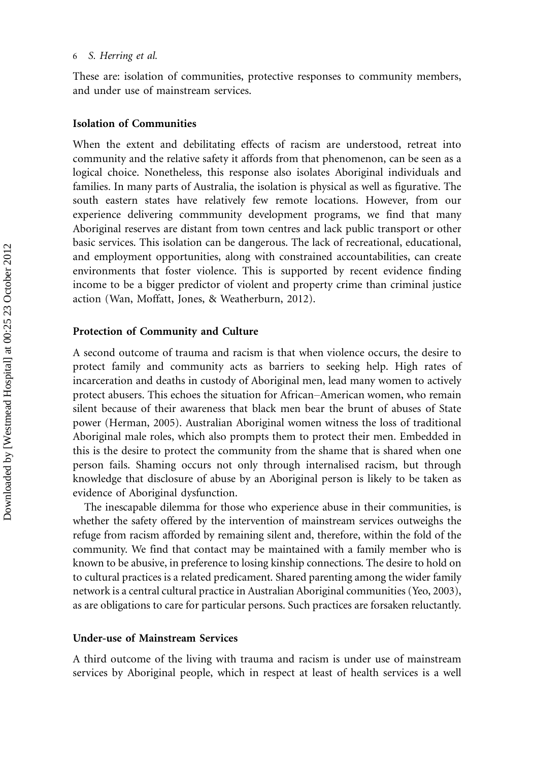These are: isolation of communities, protective responses to community members, and under use of mainstream services.

#### Isolation of Communities

When the extent and debilitating effects of racism are understood, retreat into community and the relative safety it affords from that phenomenon, can be seen as a logical choice. Nonetheless, this response also isolates Aboriginal individuals and families. In many parts of Australia, the isolation is physical as well as figurative. The south eastern states have relatively few remote locations. However, from our experience delivering commmunity development programs, we find that many Aboriginal reserves are distant from town centres and lack public transport or other basic services. This isolation can be dangerous. The lack of recreational, educational, and employment opportunities, along with constrained accountabilities, can create environments that foster violence. This is supported by recent evidence finding income to be a bigger predictor of violent and property crime than criminal justice action (Wan, Moffatt, Jones, & Weatherburn, 2012).

#### Protection of Community and Culture

A second outcome of trauma and racism is that when violence occurs, the desire to protect family and community acts as barriers to seeking help. High rates of incarceration and deaths in custody of Aboriginal men, lead many women to actively protect abusers. This echoes the situation for African–American women, who remain silent because of their awareness that black men bear the brunt of abuses of State power (Herman, 2005). Australian Aboriginal women witness the loss of traditional Aboriginal male roles, which also prompts them to protect their men. Embedded in this is the desire to protect the community from the shame that is shared when one person fails. Shaming occurs not only through internalised racism, but through knowledge that disclosure of abuse by an Aboriginal person is likely to be taken as evidence of Aboriginal dysfunction.

The inescapable dilemma for those who experience abuse in their communities, is whether the safety offered by the intervention of mainstream services outweighs the refuge from racism afforded by remaining silent and, therefore, within the fold of the community. We find that contact may be maintained with a family member who is known to be abusive, in preference to losing kinship connections. The desire to hold on to cultural practices is a related predicament. Shared parenting among the wider family network is a central cultural practice in Australian Aboriginal communities (Yeo, 2003), as are obligations to care for particular persons. Such practices are forsaken reluctantly.

#### Under-use of Mainstream Services

A third outcome of the living with trauma and racism is under use of mainstream services by Aboriginal people, which in respect at least of health services is a well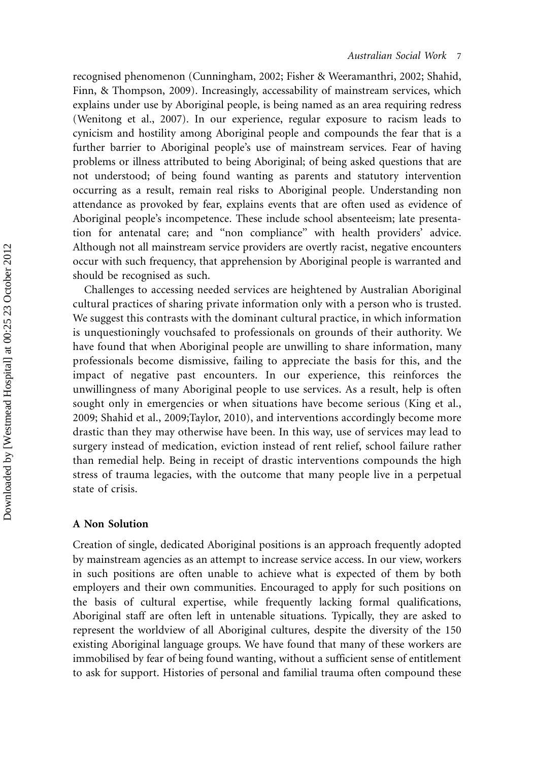recognised phenomenon (Cunningham, 2002; Fisher & Weeramanthri, 2002; Shahid, Finn, & Thompson, 2009). Increasingly, accessability of mainstream services, which explains under use by Aboriginal people, is being named as an area requiring redress (Wenitong et al., 2007). In our experience, regular exposure to racism leads to cynicism and hostility among Aboriginal people and compounds the fear that is a further barrier to Aboriginal people's use of mainstream services. Fear of having problems or illness attributed to being Aboriginal; of being asked questions that are not understood; of being found wanting as parents and statutory intervention occurring as a result, remain real risks to Aboriginal people. Understanding non attendance as provoked by fear, explains events that are often used as evidence of Aboriginal people's incompetence. These include school absenteeism; late presentation for antenatal care; and ''non compliance'' with health providers' advice. Although not all mainstream service providers are overtly racist, negative encounters occur with such frequency, that apprehension by Aboriginal people is warranted and should be recognised as such.

Challenges to accessing needed services are heightened by Australian Aboriginal cultural practices of sharing private information only with a person who is trusted. We suggest this contrasts with the dominant cultural practice, in which information is unquestioningly vouchsafed to professionals on grounds of their authority. We have found that when Aboriginal people are unwilling to share information, many professionals become dismissive, failing to appreciate the basis for this, and the impact of negative past encounters. In our experience, this reinforces the unwillingness of many Aboriginal people to use services. As a result, help is often sought only in emergencies or when situations have become serious (King et al., 2009; Shahid et al., 2009;Taylor, 2010), and interventions accordingly become more drastic than they may otherwise have been. In this way, use of services may lead to surgery instead of medication, eviction instead of rent relief, school failure rather than remedial help. Being in receipt of drastic interventions compounds the high stress of trauma legacies, with the outcome that many people live in a perpetual state of crisis.

### A Non Solution

Creation of single, dedicated Aboriginal positions is an approach frequently adopted by mainstream agencies as an attempt to increase service access. In our view, workers in such positions are often unable to achieve what is expected of them by both employers and their own communities. Encouraged to apply for such positions on the basis of cultural expertise, while frequently lacking formal qualifications, Aboriginal staff are often left in untenable situations. Typically, they are asked to represent the worldview of all Aboriginal cultures, despite the diversity of the 150 existing Aboriginal language groups. We have found that many of these workers are immobilised by fear of being found wanting, without a sufficient sense of entitlement to ask for support. Histories of personal and familial trauma often compound these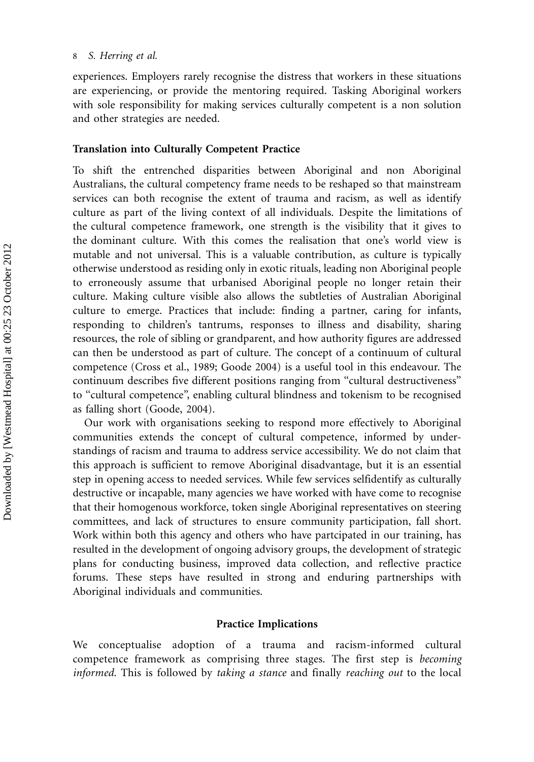experiences. Employers rarely recognise the distress that workers in these situations are experiencing, or provide the mentoring required. Tasking Aboriginal workers with sole responsibility for making services culturally competent is a non solution and other strategies are needed.

#### Translation into Culturally Competent Practice

To shift the entrenched disparities between Aboriginal and non Aboriginal Australians, the cultural competency frame needs to be reshaped so that mainstream services can both recognise the extent of trauma and racism, as well as identify culture as part of the living context of all individuals. Despite the limitations of the cultural competence framework, one strength is the visibility that it gives to the dominant culture. With this comes the realisation that one's world view is mutable and not universal. This is a valuable contribution, as culture is typically otherwise understood as residing only in exotic rituals, leading non Aboriginal people to erroneously assume that urbanised Aboriginal people no longer retain their culture. Making culture visible also allows the subtleties of Australian Aboriginal culture to emerge. Practices that include: finding a partner, caring for infants, responding to children's tantrums, responses to illness and disability, sharing resources, the role of sibling or grandparent, and how authority figures are addressed can then be understood as part of culture. The concept of a continuum of cultural competence (Cross et al., 1989; Goode 2004) is a useful tool in this endeavour. The continuum describes five different positions ranging from ''cultural destructiveness'' to ''cultural competence'', enabling cultural blindness and tokenism to be recognised as falling short (Goode, 2004).

Our work with organisations seeking to respond more effectively to Aboriginal communities extends the concept of cultural competence, informed by understandings of racism and trauma to address service accessibility. We do not claim that this approach is sufficient to remove Aboriginal disadvantage, but it is an essential step in opening access to needed services. While few services selfidentify as culturally destructive or incapable, many agencies we have worked with have come to recognise that their homogenous workforce, token single Aboriginal representatives on steering committees, and lack of structures to ensure community participation, fall short. Work within both this agency and others who have partcipated in our training, has resulted in the development of ongoing advisory groups, the development of strategic plans for conducting business, improved data collection, and reflective practice forums. These steps have resulted in strong and enduring partnerships with Aboriginal individuals and communities.

#### Practice Implications

We conceptualise adoption of a trauma and racism-informed cultural competence framework as comprising three stages. The first step is becoming informed. This is followed by taking a stance and finally reaching out to the local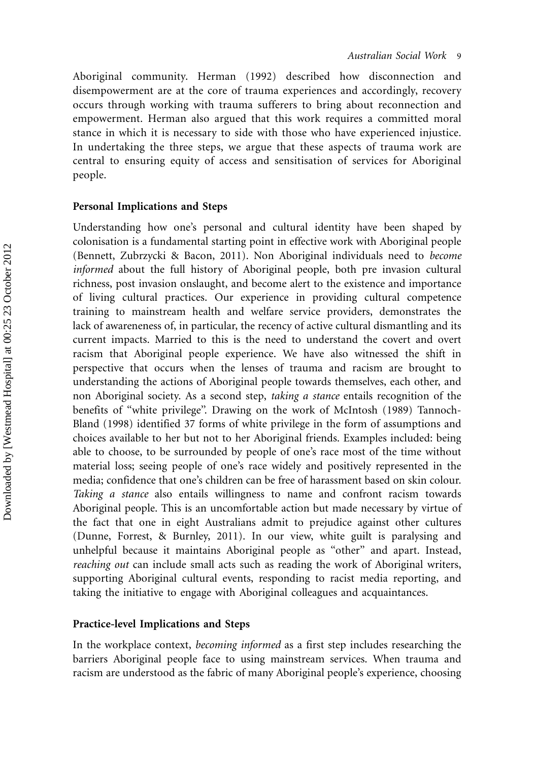Aboriginal community. Herman (1992) described how disconnection and disempowerment are at the core of trauma experiences and accordingly, recovery occurs through working with trauma sufferers to bring about reconnection and empowerment. Herman also argued that this work requires a committed moral stance in which it is necessary to side with those who have experienced injustice. In undertaking the three steps, we argue that these aspects of trauma work are central to ensuring equity of access and sensitisation of services for Aboriginal people.

#### Personal Implications and Steps

Understanding how one's personal and cultural identity have been shaped by colonisation is a fundamental starting point in effective work with Aboriginal people (Bennett, Zubrzycki & Bacon, 2011). Non Aboriginal individuals need to become informed about the full history of Aboriginal people, both pre invasion cultural richness, post invasion onslaught, and become alert to the existence and importance of living cultural practices. Our experience in providing cultural competence training to mainstream health and welfare service providers, demonstrates the lack of awareneness of, in particular, the recency of active cultural dismantling and its current impacts. Married to this is the need to understand the covert and overt racism that Aboriginal people experience. We have also witnessed the shift in perspective that occurs when the lenses of trauma and racism are brought to understanding the actions of Aboriginal people towards themselves, each other, and non Aboriginal society. As a second step, taking a stance entails recognition of the benefits of ''white privilege''. Drawing on the work of McIntosh (1989) Tannoch-Bland (1998) identified 37 forms of white privilege in the form of assumptions and choices available to her but not to her Aboriginal friends. Examples included: being able to choose, to be surrounded by people of one's race most of the time without material loss; seeing people of one's race widely and positively represented in the media; confidence that one's children can be free of harassment based on skin colour. Taking a stance also entails willingness to name and confront racism towards Aboriginal people. This is an uncomfortable action but made necessary by virtue of the fact that one in eight Australians admit to prejudice against other cultures (Dunne, Forrest, & Burnley, 2011). In our view, white guilt is paralysing and unhelpful because it maintains Aboriginal people as ''other'' and apart. Instead, reaching out can include small acts such as reading the work of Aboriginal writers, supporting Aboriginal cultural events, responding to racist media reporting, and taking the initiative to engage with Aboriginal colleagues and acquaintances.

#### Practice-level Implications and Steps

In the workplace context, becoming informed as a first step includes researching the barriers Aboriginal people face to using mainstream services. When trauma and racism are understood as the fabric of many Aboriginal people's experience, choosing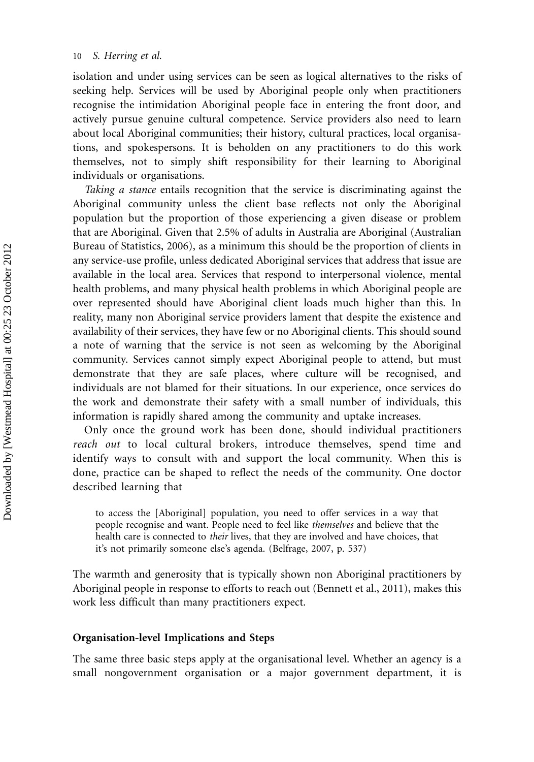isolation and under using services can be seen as logical alternatives to the risks of seeking help. Services will be used by Aboriginal people only when practitioners recognise the intimidation Aboriginal people face in entering the front door, and actively pursue genuine cultural competence. Service providers also need to learn about local Aboriginal communities; their history, cultural practices, local organisations, and spokespersons. It is beholden on any practitioners to do this work themselves, not to simply shift responsibility for their learning to Aboriginal individuals or organisations.

Taking a stance entails recognition that the service is discriminating against the Aboriginal community unless the client base reflects not only the Aboriginal population but the proportion of those experiencing a given disease or problem that are Aboriginal. Given that 2.5% of adults in Australia are Aboriginal (Australian Bureau of Statistics, 2006), as a minimum this should be the proportion of clients in any service-use profile, unless dedicated Aboriginal services that address that issue are available in the local area. Services that respond to interpersonal violence, mental health problems, and many physical health problems in which Aboriginal people are over represented should have Aboriginal client loads much higher than this. In reality, many non Aboriginal service providers lament that despite the existence and availability of their services, they have few or no Aboriginal clients. This should sound a note of warning that the service is not seen as welcoming by the Aboriginal community. Services cannot simply expect Aboriginal people to attend, but must demonstrate that they are safe places, where culture will be recognised, and individuals are not blamed for their situations. In our experience, once services do the work and demonstrate their safety with a small number of individuals, this information is rapidly shared among the community and uptake increases.

Only once the ground work has been done, should individual practitioners reach out to local cultural brokers, introduce themselves, spend time and identify ways to consult with and support the local community. When this is done, practice can be shaped to reflect the needs of the community. One doctor described learning that

to access the [Aboriginal] population, you need to offer services in a way that people recognise and want. People need to feel like themselves and believe that the health care is connected to their lives, that they are involved and have choices, that it's not primarily someone else's agenda. (Belfrage, 2007, p. 537)

The warmth and generosity that is typically shown non Aboriginal practitioners by Aboriginal people in response to efforts to reach out (Bennett et al., 2011), makes this work less difficult than many practitioners expect.

#### Organisation-level Implications and Steps

The same three basic steps apply at the organisational level. Whether an agency is a small nongovernment organisation or a major government department, it is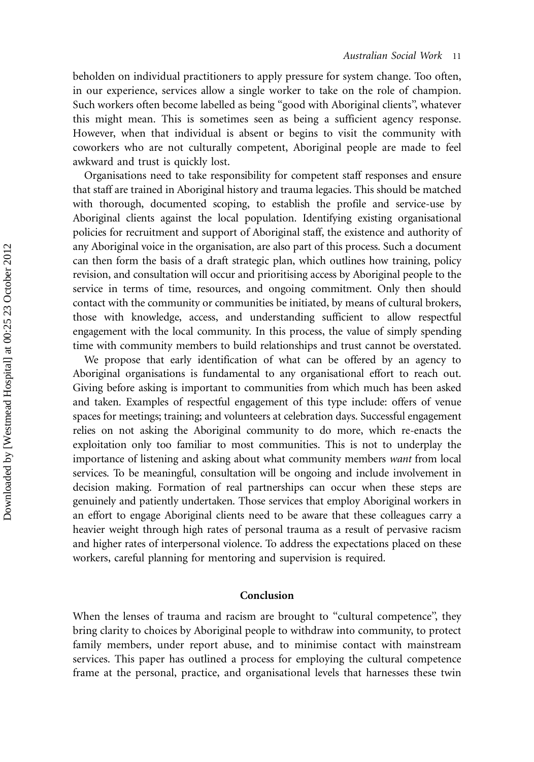beholden on individual practitioners to apply pressure for system change. Too often, in our experience, services allow a single worker to take on the role of champion. Such workers often become labelled as being ''good with Aboriginal clients'', whatever this might mean. This is sometimes seen as being a sufficient agency response. However, when that individual is absent or begins to visit the community with coworkers who are not culturally competent, Aboriginal people are made to feel awkward and trust is quickly lost.

Organisations need to take responsibility for competent staff responses and ensure that staff are trained in Aboriginal history and trauma legacies. This should be matched with thorough, documented scoping, to establish the profile and service-use by Aboriginal clients against the local population. Identifying existing organisational policies for recruitment and support of Aboriginal staff, the existence and authority of any Aboriginal voice in the organisation, are also part of this process. Such a document can then form the basis of a draft strategic plan, which outlines how training, policy revision, and consultation will occur and prioritising access by Aboriginal people to the service in terms of time, resources, and ongoing commitment. Only then should contact with the community or communities be initiated, by means of cultural brokers, those with knowledge, access, and understanding sufficient to allow respectful engagement with the local community. In this process, the value of simply spending time with community members to build relationships and trust cannot be overstated.

We propose that early identification of what can be offered by an agency to Aboriginal organisations is fundamental to any organisational effort to reach out. Giving before asking is important to communities from which much has been asked and taken. Examples of respectful engagement of this type include: offers of venue spaces for meetings; training; and volunteers at celebration days. Successful engagement relies on not asking the Aboriginal community to do more, which re-enacts the exploitation only too familiar to most communities. This is not to underplay the importance of listening and asking about what community members want from local services. To be meaningful, consultation will be ongoing and include involvement in decision making. Formation of real partnerships can occur when these steps are genuinely and patiently undertaken. Those services that employ Aboriginal workers in an effort to engage Aboriginal clients need to be aware that these colleagues carry a heavier weight through high rates of personal trauma as a result of pervasive racism and higher rates of interpersonal violence. To address the expectations placed on these workers, careful planning for mentoring and supervision is required.

## Conclusion

When the lenses of trauma and racism are brought to "cultural competence", they bring clarity to choices by Aboriginal people to withdraw into community, to protect family members, under report abuse, and to minimise contact with mainstream services. This paper has outlined a process for employing the cultural competence frame at the personal, practice, and organisational levels that harnesses these twin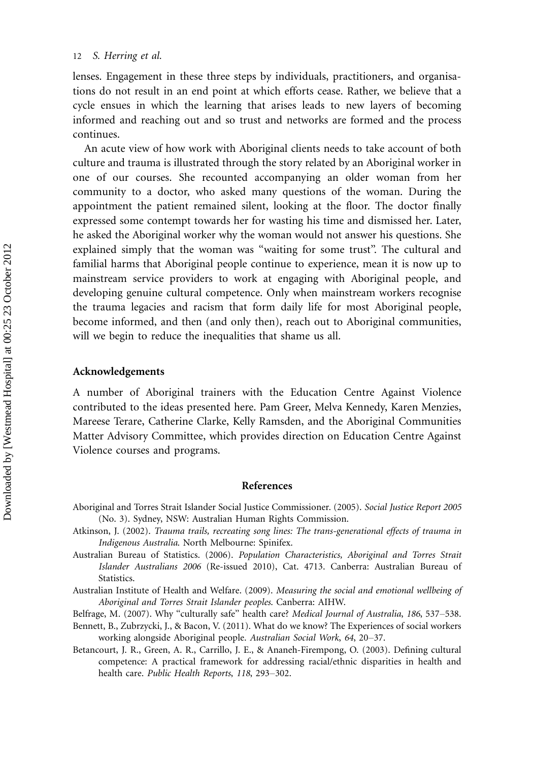lenses. Engagement in these three steps by individuals, practitioners, and organisations do not result in an end point at which efforts cease. Rather, we believe that a cycle ensues in which the learning that arises leads to new layers of becoming informed and reaching out and so trust and networks are formed and the process continues.

An acute view of how work with Aboriginal clients needs to take account of both culture and trauma is illustrated through the story related by an Aboriginal worker in one of our courses. She recounted accompanying an older woman from her community to a doctor, who asked many questions of the woman. During the appointment the patient remained silent, looking at the floor. The doctor finally expressed some contempt towards her for wasting his time and dismissed her. Later, he asked the Aboriginal worker why the woman would not answer his questions. She explained simply that the woman was "waiting for some trust". The cultural and familial harms that Aboriginal people continue to experience, mean it is now up to mainstream service providers to work at engaging with Aboriginal people, and developing genuine cultural competence. Only when mainstream workers recognise the trauma legacies and racism that form daily life for most Aboriginal people, become informed, and then (and only then), reach out to Aboriginal communities, will we begin to reduce the inequalities that shame us all.

#### Acknowledgements

A number of Aboriginal trainers with the Education Centre Against Violence contributed to the ideas presented here. Pam Greer, Melva Kennedy, Karen Menzies, Mareese Terare, Catherine Clarke, Kelly Ramsden, and the Aboriginal Communities Matter Advisory Committee, which provides direction on Education Centre Against Violence courses and programs.

#### References

- Aboriginal and Torres Strait Islander Social Justice Commissioner. (2005). Social Justice Report 2005 (No. 3). Sydney, NSW: Australian Human Rights Commission.
- Atkinson, J. (2002). Trauma trails, recreating song lines: The trans-generational effects of trauma in Indigenous Australia. North Melbourne: Spinifex.
- Australian Bureau of Statistics. (2006). Population Characteristics, Aboriginal and Torres Strait Islander Australians 2006 (Re-issued 2010), Cat. 4713. Canberra: Australian Bureau of Statistics.
- Australian Institute of Health and Welfare. (2009). Measuring the social and emotional wellbeing of Aboriginal and Torres Strait Islander peoples. Canberra: AIHW.

Belfrage, M. (2007). Why "culturally safe" health care? Medical Journal of Australia, 186, 537-538.

- Bennett, B., Zubrzycki, J., & Bacon, V. (2011). What do we know? The Experiences of social workers working alongside Aboriginal people. Australian Social Work, 64, 20-37.
- Betancourt, J. R., Green, A. R., Carrillo, J. E., & Ananeh-Firempong, O. (2003). Defining cultural competence: A practical framework for addressing racial/ethnic disparities in health and health care. Public Health Reports, 118, 293-302.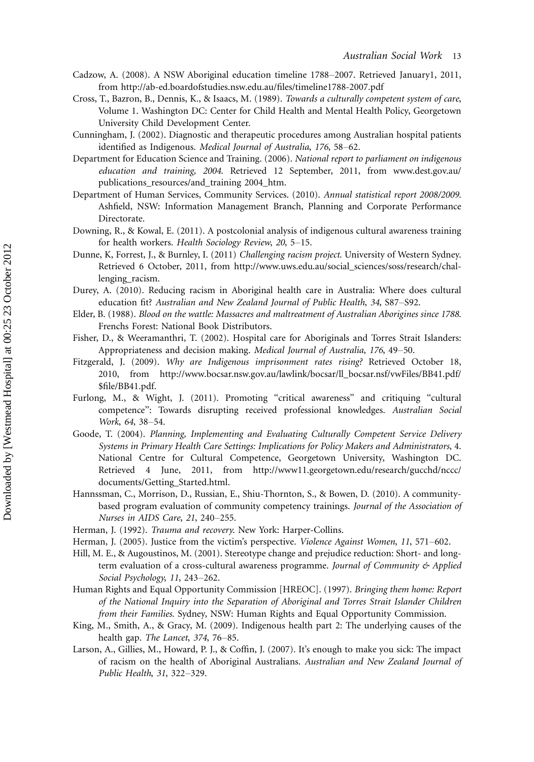- Cadzow, A. (2008). A NSW Aboriginal education timeline 1788-2007. Retrieved January1, 2011, from<http://ab-ed.boardofstudies.nsw.edu.au/files/timeline1788-2007.pdf>
- Cross, T., Bazron, B., Dennis, K., & Isaacs, M. (1989). Towards a culturally competent system of care, Volume 1. Washington DC: Center for Child Health and Mental Health Policy, Georgetown University Child Development Center.
- Cunningham, J. (2002). Diagnostic and therapeutic procedures among Australian hospital patients identified as Indigenous. Medical Journal of Australia, 176, 58-62.
- Department for Education Science and Training. (2006). National report to parliament on indigenous education and training, 2004. Retrieved 12 September, 2011, from [www.dest.gov.au/](http://www.dest.gov.au/publications_resources/and_training 2004_htm) [publications\\_resources/and\\_training 2004\\_htm](http://www.dest.gov.au/publications_resources/and_training 2004_htm).
- Department of Human Services, Community Services. (2010). Annual statistical report 2008/2009. Ashfield, NSW: Information Management Branch, Planning and Corporate Performance Directorate.
- Downing, R., & Kowal, E. (2011). A postcolonial analysis of indigenous cultural awareness training for health workers. Health Sociology Review, 20, 5-15.
- Dunne, K, Forrest, J., & Burnley, I. (2011) Challenging racism project. University of Western Sydney. Retrieved 6 October, 2011, from [http://www.uws.edu.au/social\\_sciences/soss/research/chal](http://www.uws.edu.au/social_sciences/soss/research/challenging_racism)[lenging\\_racism.](http://www.uws.edu.au/social_sciences/soss/research/challenging_racism)
- Durey, A. (2010). Reducing racism in Aboriginal health care in Australia: Where does cultural education fit? Australian and New Zealand Journal of Public Health, 34, S87-S92.
- Elder, B. (1988). Blood on the wattle: Massacres and maltreatment of Australian Aborigines since 1788. Frenchs Forest: National Book Distributors.
- Fisher, D., & Weeramanthri, T. (2002). Hospital care for Aboriginals and Torres Strait Islanders: Appropriateness and decision making. Medical Journal of Australia, 176, 49-50.
- Fitzgerald, J. (2009). Why are Indigenous imprisonment rates rising? Retrieved October 18, 2010, from [http://www.bocsar.nsw.gov.au/lawlink/bocsar/ll\\_bocsar.nsf/vwFiles/BB41.pdf/](http://www.bocsar.nsw.gov.au/lawlink/bocsar/ll_bocsar.nsf/vwFiles/BB41.pdf/$file/BB41.pdf) [\\$file/BB41.pdf.](http://www.bocsar.nsw.gov.au/lawlink/bocsar/ll_bocsar.nsf/vwFiles/BB41.pdf/$file/BB41.pdf)
- Furlong, M., & Wight, J. (2011). Promoting "critical awareness" and critiquing "cultural competence'': Towards disrupting received professional knowledges. Australian Social Work, 64, 38-54.
- Goode, T. (2004). Planning, Implementing and Evaluating Culturally Competent Service Delivery Systems in Primary Health Care Settings: Implications for Policy Makers and Administrators, 4. National Centre for Cultural Competence, Georgetown University, Washington DC. Retrieved 4 June, 2011, from [http://www11.georgetown.edu/research/gucchd/nccc/](http://www11.georgetown.edu/research/gucchd/nccc/documents/Getting_Started.html) [documents/Getting\\_Started.html](http://www11.georgetown.edu/research/gucchd/nccc/documents/Getting_Started.html).
- Hannssman, C., Morrison, D., Russian, E., Shiu-Thornton, S., & Bowen, D. (2010). A communitybased program evaluation of community competency trainings. Journal of the Association of Nurses in AIDS Care, 21, 240-255.
- Herman, J. (1992). Trauma and recovery. New York: Harper-Collins.
- Herman, J. (2005). Justice from the victim's perspective. Violence Against Women, 11, 571-602.
- Hill, M. E., & Augoustinos, M. (2001). Stereotype change and prejudice reduction: Short- and longterm evaluation of a cross-cultural awareness programme. Journal of Community & Applied Social Psychology, 11, 243-262.
- Human Rights and Equal Opportunity Commission [HREOC]. (1997). Bringing them home: Report of the National Inquiry into the Separation of Aboriginal and Torres Strait Islander Children from their Families. Sydney, NSW: Human Rights and Equal Opportunity Commission.
- King, M., Smith, A., & Gracy, M. (2009). Indigenous health part 2: The underlying causes of the health gap. The Lancet, 374, 76-85.
- Larson, A., Gillies, M., Howard, P. J., & Coffin, J. (2007). It's enough to make you sick: The impact of racism on the health of Aboriginal Australians. Australian and New Zealand Journal of Public Health, 31, 322-329.